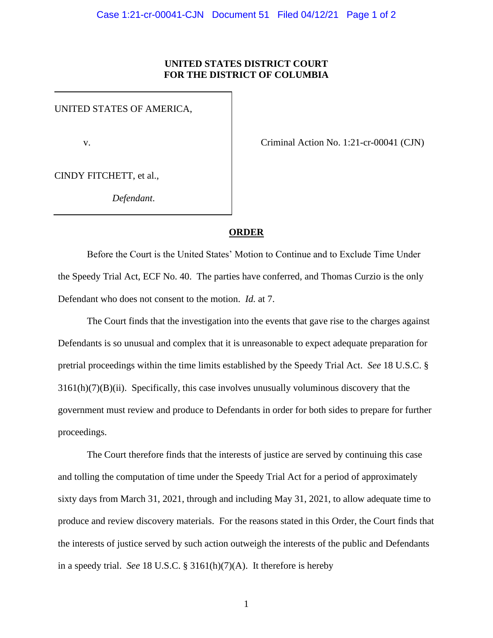## **UNITED STATES DISTRICT COURT FOR THE DISTRICT OF COLUMBIA**

UNITED STATES OF AMERICA,

v. Criminal Action No. 1:21-cr-00041 (CJN)

CINDY FITCHETT, et al.,

*Defendant*.

## **ORDER**

Before the Court is the United States' Motion to Continue and to Exclude Time Under the Speedy Trial Act, ECF No. 40. The parties have conferred, and Thomas Curzio is the only Defendant who does not consent to the motion. *Id.* at 7.

The Court finds that the investigation into the events that gave rise to the charges against Defendants is so unusual and complex that it is unreasonable to expect adequate preparation for pretrial proceedings within the time limits established by the Speedy Trial Act. *See* 18 U.S.C. §  $3161(h)(7)(B)(ii)$ . Specifically, this case involves unusually voluminous discovery that the government must review and produce to Defendants in order for both sides to prepare for further proceedings.

The Court therefore finds that the interests of justice are served by continuing this case and tolling the computation of time under the Speedy Trial Act for a period of approximately sixty days from March 31, 2021, through and including May 31, 2021, to allow adequate time to produce and review discovery materials. For the reasons stated in this Order, the Court finds that the interests of justice served by such action outweigh the interests of the public and Defendants in a speedy trial. *See* 18 U.S.C. § 3161(h)(7)(A). It therefore is hereby

1